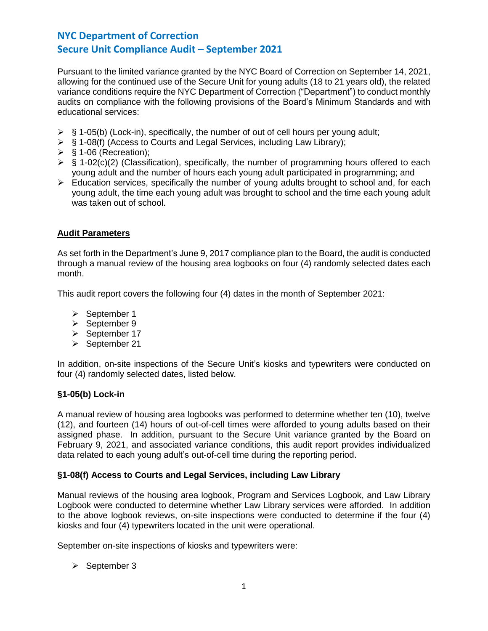Pursuant to the limited variance granted by the NYC Board of Correction on September 14, 2021, allowing for the continued use of the Secure Unit for young adults (18 to 21 years old), the related variance conditions require the NYC Department of Correction ("Department") to conduct monthly audits on compliance with the following provisions of the Board's Minimum Standards and with educational services:

- $\triangleright$  § 1-05(b) (Lock-in), specifically, the number of out of cell hours per young adult;
- ➢ § 1-08(f) (Access to Courts and Legal Services, including Law Library);
- $\triangleright$  § 1-06 (Recreation);
- $\triangleright$  § 1-02(c)(2) (Classification), specifically, the number of programming hours offered to each young adult and the number of hours each young adult participated in programming; and
- $\triangleright$  Education services, specifically the number of young adults brought to school and, for each young adult, the time each young adult was brought to school and the time each young adult was taken out of school.

## **Audit Parameters**

As set forth in the Department's June 9, 2017 compliance plan to the Board, the audit is conducted through a manual review of the housing area logbooks on four (4) randomly selected dates each month.

This audit report covers the following four (4) dates in the month of September 2021:

- ➢ September 1
- ➢ September 9
- ➢ September 17
- ➢ September 21

In addition, on-site inspections of the Secure Unit's kiosks and typewriters were conducted on four (4) randomly selected dates, listed below.

## **§1-05(b) Lock-in**

A manual review of housing area logbooks was performed to determine whether ten (10), twelve (12), and fourteen (14) hours of out-of-cell times were afforded to young adults based on their assigned phase. In addition, pursuant to the Secure Unit variance granted by the Board on February 9, 2021, and associated variance conditions, this audit report provides individualized data related to each young adult's out-of-cell time during the reporting period.

## **§1-08(f) Access to Courts and Legal Services, including Law Library**

Manual reviews of the housing area logbook, Program and Services Logbook, and Law Library Logbook were conducted to determine whether Law Library services were afforded. In addition to the above logbook reviews, on-site inspections were conducted to determine if the four (4) kiosks and four (4) typewriters located in the unit were operational.

September on-site inspections of kiosks and typewriters were:

➢ September 3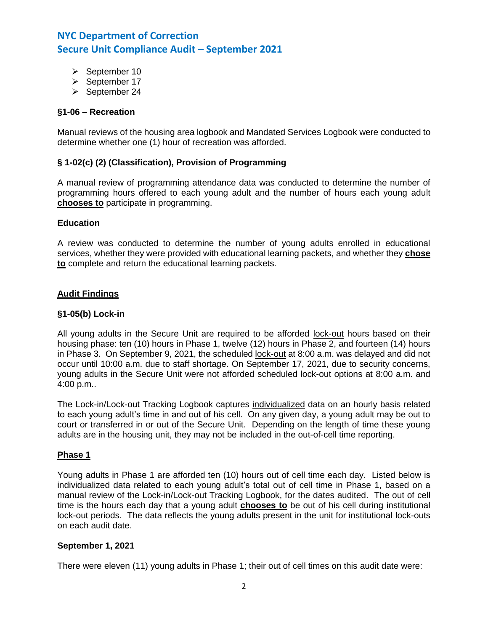- ➢ September 10
- ➢ September 17
- ➢ September 24

### **§1-06 – Recreation**

Manual reviews of the housing area logbook and Mandated Services Logbook were conducted to determine whether one (1) hour of recreation was afforded.

### **§ 1-02(c) (2) (Classification), Provision of Programming**

A manual review of programming attendance data was conducted to determine the number of programming hours offered to each young adult and the number of hours each young adult **chooses to** participate in programming.

#### **Education**

A review was conducted to determine the number of young adults enrolled in educational services, whether they were provided with educational learning packets, and whether they **chose to** complete and return the educational learning packets.

#### **Audit Findings**

### **§1-05(b) Lock-in**

All young adults in the Secure Unit are required to be afforded lock-out hours based on their housing phase: ten (10) hours in Phase 1, twelve (12) hours in Phase 2, and fourteen (14) hours in Phase 3. On September 9, 2021, the scheduled lock-out at 8:00 a.m. was delayed and did not occur until 10:00 a.m. due to staff shortage. On September 17, 2021, due to security concerns, young adults in the Secure Unit were not afforded scheduled lock-out options at 8:00 a.m. and 4:00 p.m..

The Lock-in/Lock-out Tracking Logbook captures individualized data on an hourly basis related to each young adult's time in and out of his cell. On any given day, a young adult may be out to court or transferred in or out of the Secure Unit. Depending on the length of time these young adults are in the housing unit, they may not be included in the out-of-cell time reporting.

#### **Phase 1**

Young adults in Phase 1 are afforded ten (10) hours out of cell time each day. Listed below is individualized data related to each young adult's total out of cell time in Phase 1, based on a manual review of the Lock-in/Lock-out Tracking Logbook, for the dates audited. The out of cell time is the hours each day that a young adult **chooses to** be out of his cell during institutional lock-out periods. The data reflects the young adults present in the unit for institutional lock-outs on each audit date.

#### **September 1, 2021**

There were eleven (11) young adults in Phase 1; their out of cell times on this audit date were: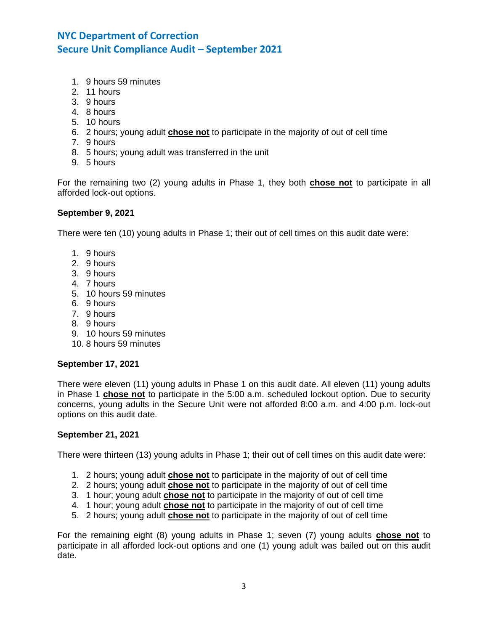- 1. 9 hours 59 minutes
- 2. 11 hours
- 3. 9 hours
- 4. 8 hours
- 5. 10 hours
- 6. 2 hours; young adult **chose not** to participate in the majority of out of cell time
- 7. 9 hours
- 8. 5 hours; young adult was transferred in the unit
- 9. 5 hours

For the remaining two (2) young adults in Phase 1, they both **chose not** to participate in all afforded lock-out options.

### **September 9, 2021**

There were ten (10) young adults in Phase 1; their out of cell times on this audit date were:

- 1. 9 hours
- 2. 9 hours
- 3. 9 hours
- 4. 7 hours
- 5. 10 hours 59 minutes
- 6. 9 hours
- 7. 9 hours
- 8. 9 hours
- 9. 10 hours 59 minutes
- 10. 8 hours 59 minutes

#### **September 17, 2021**

There were eleven (11) young adults in Phase 1 on this audit date. All eleven (11) young adults in Phase 1 **chose not** to participate in the 5:00 a.m. scheduled lockout option. Due to security concerns, young adults in the Secure Unit were not afforded 8:00 a.m. and 4:00 p.m. lock-out options on this audit date.

### **September 21, 2021**

There were thirteen (13) young adults in Phase 1; their out of cell times on this audit date were:

- 1. 2 hours; young adult **chose not** to participate in the majority of out of cell time
- 2. 2 hours; young adult **chose not** to participate in the majority of out of cell time
- 3. 1 hour; young adult **chose not** to participate in the majority of out of cell time
- 4. 1 hour; young adult **chose not** to participate in the majority of out of cell time
- 5. 2 hours; young adult **chose not** to participate in the majority of out of cell time

For the remaining eight (8) young adults in Phase 1; seven (7) young adults **chose not** to participate in all afforded lock-out options and one (1) young adult was bailed out on this audit date.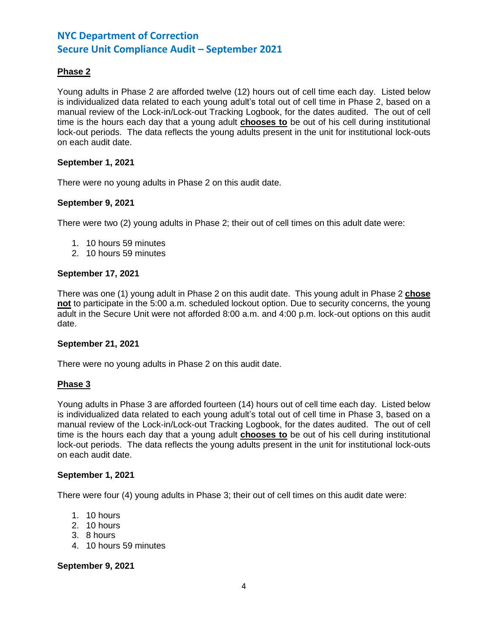## **Phase 2**

Young adults in Phase 2 are afforded twelve (12) hours out of cell time each day. Listed below is individualized data related to each young adult's total out of cell time in Phase 2, based on a manual review of the Lock-in/Lock-out Tracking Logbook, for the dates audited. The out of cell time is the hours each day that a young adult **chooses to** be out of his cell during institutional lock-out periods. The data reflects the young adults present in the unit for institutional lock-outs on each audit date.

#### **September 1, 2021**

There were no young adults in Phase 2 on this audit date.

#### **September 9, 2021**

There were two (2) young adults in Phase 2; their out of cell times on this adult date were:

- 1. 10 hours 59 minutes
- 2. 10 hours 59 minutes

#### **September 17, 2021**

There was one (1) young adult in Phase 2 on this audit date. This young adult in Phase 2 **chose not** to participate in the 5:00 a.m. scheduled lockout option. Due to security concerns, the young adult in the Secure Unit were not afforded 8:00 a.m. and 4:00 p.m. lock-out options on this audit date.

#### **September 21, 2021**

There were no young adults in Phase 2 on this audit date.

#### **Phase 3**

Young adults in Phase 3 are afforded fourteen (14) hours out of cell time each day. Listed below is individualized data related to each young adult's total out of cell time in Phase 3, based on a manual review of the Lock-in/Lock-out Tracking Logbook, for the dates audited. The out of cell time is the hours each day that a young adult **chooses to** be out of his cell during institutional lock-out periods. The data reflects the young adults present in the unit for institutional lock-outs on each audit date.

#### **September 1, 2021**

There were four (4) young adults in Phase 3; their out of cell times on this audit date were:

- 1. 10 hours
- 2. 10 hours
- 3. 8 hours
- 4. 10 hours 59 minutes

#### **September 9, 2021**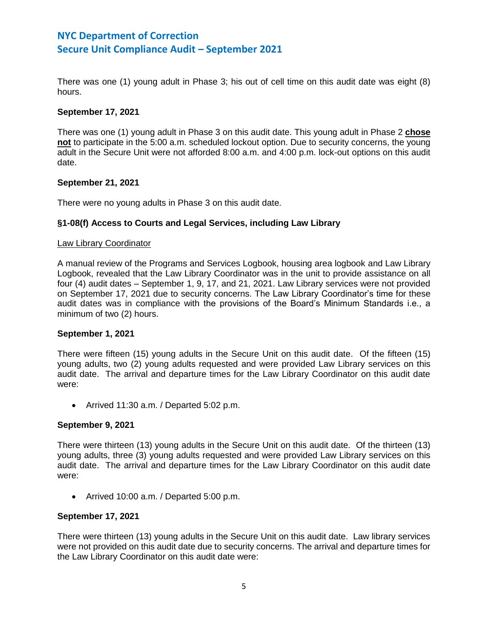There was one (1) young adult in Phase 3; his out of cell time on this audit date was eight (8) hours.

### **September 17, 2021**

There was one (1) young adult in Phase 3 on this audit date. This young adult in Phase 2 **chose not** to participate in the 5:00 a.m. scheduled lockout option. Due to security concerns, the young adult in the Secure Unit were not afforded 8:00 a.m. and 4:00 p.m. lock-out options on this audit date.

#### **September 21, 2021**

There were no young adults in Phase 3 on this audit date.

## **§1-08(f) Access to Courts and Legal Services, including Law Library**

#### Law Library Coordinator

A manual review of the Programs and Services Logbook, housing area logbook and Law Library Logbook, revealed that the Law Library Coordinator was in the unit to provide assistance on all four (4) audit dates – September 1, 9, 17, and 21, 2021. Law Library services were not provided on September 17, 2021 due to security concerns. The Law Library Coordinator's time for these audit dates was in compliance with the provisions of the Board's Minimum Standards i.e., a minimum of two (2) hours.

### **September 1, 2021**

There were fifteen (15) young adults in the Secure Unit on this audit date. Of the fifteen (15) young adults, two (2) young adults requested and were provided Law Library services on this audit date. The arrival and departure times for the Law Library Coordinator on this audit date were:

• Arrived 11:30 a.m. / Departed 5:02 p.m.

#### **September 9, 2021**

There were thirteen (13) young adults in the Secure Unit on this audit date. Of the thirteen (13) young adults, three (3) young adults requested and were provided Law Library services on this audit date. The arrival and departure times for the Law Library Coordinator on this audit date were:

• Arrived 10:00 a.m. / Departed 5:00 p.m.

#### **September 17, 2021**

There were thirteen (13) young adults in the Secure Unit on this audit date. Law library services were not provided on this audit date due to security concerns. The arrival and departure times for the Law Library Coordinator on this audit date were: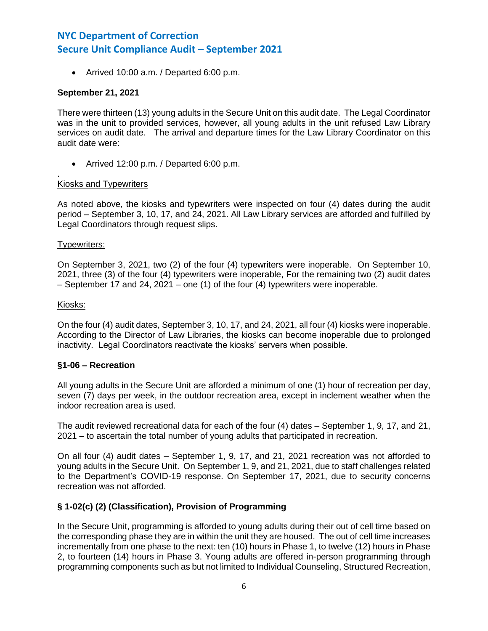• Arrived 10:00 a.m. / Departed 6:00 p.m.

### **September 21, 2021**

There were thirteen (13) young adults in the Secure Unit on this audit date. The Legal Coordinator was in the unit to provided services, however, all young adults in the unit refused Law Library services on audit date. The arrival and departure times for the Law Library Coordinator on this audit date were:

• Arrived 12:00 p.m. / Departed 6:00 p.m.

#### . Kiosks and Typewriters

As noted above, the kiosks and typewriters were inspected on four (4) dates during the audit period – September 3, 10, 17, and 24, 2021. All Law Library services are afforded and fulfilled by Legal Coordinators through request slips.

#### Typewriters:

On September 3, 2021, two (2) of the four (4) typewriters were inoperable. On September 10, 2021, three (3) of the four (4) typewriters were inoperable, For the remaining two (2) audit dates – September 17 and 24, 2021 – one (1) of the four (4) typewriters were inoperable.

#### Kiosks:

On the four (4) audit dates, September 3, 10, 17, and 24, 2021, all four (4) kiosks were inoperable. According to the Director of Law Libraries, the kiosks can become inoperable due to prolonged inactivity. Legal Coordinators reactivate the kiosks' servers when possible.

#### **§1-06 – Recreation**

All young adults in the Secure Unit are afforded a minimum of one (1) hour of recreation per day, seven (7) days per week, in the outdoor recreation area, except in inclement weather when the indoor recreation area is used.

The audit reviewed recreational data for each of the four (4) dates – September 1, 9, 17, and 21, 2021 – to ascertain the total number of young adults that participated in recreation.

On all four (4) audit dates – September 1, 9, 17, and 21, 2021 recreation was not afforded to young adults in the Secure Unit. On September 1, 9, and 21, 2021, due to staff challenges related to the Department's COVID-19 response. On September 17, 2021, due to security concerns recreation was not afforded.

#### **§ 1-02(c) (2) (Classification), Provision of Programming**

In the Secure Unit, programming is afforded to young adults during their out of cell time based on the corresponding phase they are in within the unit they are housed. The out of cell time increases incrementally from one phase to the next: ten (10) hours in Phase 1, to twelve (12) hours in Phase 2, to fourteen (14) hours in Phase 3. Young adults are offered in-person programming through programming components such as but not limited to Individual Counseling, Structured Recreation,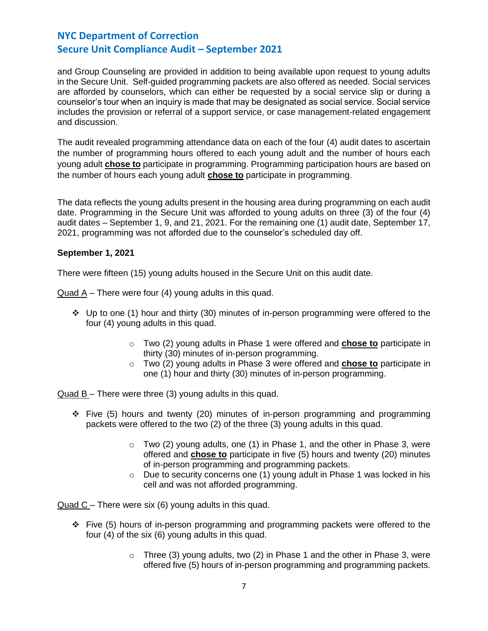and Group Counseling are provided in addition to being available upon request to young adults in the Secure Unit. Self-guided programming packets are also offered as needed. Social services are afforded by counselors, which can either be requested by a social service slip or during a counselor's tour when an inquiry is made that may be designated as social service. Social service includes the provision or referral of a support service, or case management-related engagement and discussion.

The audit revealed programming attendance data on each of the four (4) audit dates to ascertain the number of programming hours offered to each young adult and the number of hours each young adult **chose to** participate in programming. Programming participation hours are based on the number of hours each young adult **chose to** participate in programming.

The data reflects the young adults present in the housing area during programming on each audit date. Programming in the Secure Unit was afforded to young adults on three (3) of the four (4) audit dates – September 1, 9, and 21, 2021. For the remaining one (1) audit date, September 17, 2021, programming was not afforded due to the counselor's scheduled day off.

## **September 1, 2021**

There were fifteen (15) young adults housed in the Secure Unit on this audit date.

Quad A – There were four (4) young adults in this quad.

- ❖ Up to one (1) hour and thirty (30) minutes of in-person programming were offered to the four (4) young adults in this quad.
	- o Two (2) young adults in Phase 1 were offered and **chose to** participate in thirty (30) minutes of in-person programming.
	- o Two (2) young adults in Phase 3 were offered and **chose to** participate in one (1) hour and thirty (30) minutes of in-person programming.

Quad B – There were three (3) young adults in this quad.

- ❖ Five (5) hours and twenty (20) minutes of in-person programming and programming packets were offered to the two (2) of the three (3) young adults in this quad.
	- $\circ$  Two (2) young adults, one (1) in Phase 1, and the other in Phase 3, were offered and **chose to** participate in five (5) hours and twenty (20) minutes of in-person programming and programming packets.
	- $\circ$  Due to security concerns one (1) young adult in Phase 1 was locked in his cell and was not afforded programming.

Quad C – There were six (6) young adults in this quad.

- ❖ Five (5) hours of in-person programming and programming packets were offered to the four (4) of the six (6) young adults in this quad.
	- $\circ$  Three (3) young adults, two (2) in Phase 1 and the other in Phase 3, were offered five (5) hours of in-person programming and programming packets.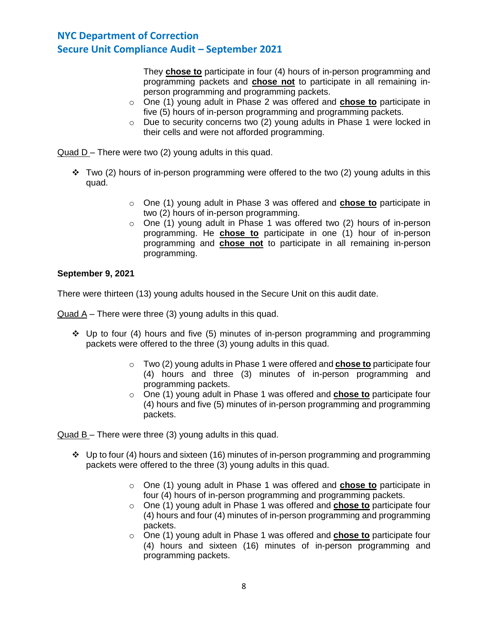They **chose to** participate in four (4) hours of in-person programming and programming packets and **chose not** to participate in all remaining inperson programming and programming packets.

- o One (1) young adult in Phase 2 was offered and **chose to** participate in five (5) hours of in-person programming and programming packets.
- o Due to security concerns two (2) young adults in Phase 1 were locked in their cells and were not afforded programming.

Quad D – There were two (2) young adults in this quad.

- $\div$  Two (2) hours of in-person programming were offered to the two (2) young adults in this quad.
	- o One (1) young adult in Phase 3 was offered and **chose to** participate in two (2) hours of in-person programming.
	- $\circ$  One (1) young adult in Phase 1 was offered two (2) hours of in-person programming. He **chose to** participate in one (1) hour of in-person programming and **chose not** to participate in all remaining in-person programming.

### **September 9, 2021**

There were thirteen (13) young adults housed in the Secure Unit on this audit date.

Quad A – There were three (3) young adults in this quad.

- $\div$  Up to four (4) hours and five (5) minutes of in-person programming and programming packets were offered to the three (3) young adults in this quad.
	- o Two (2) young adults in Phase 1 were offered and **chose to** participate four (4) hours and three (3) minutes of in-person programming and programming packets.
	- o One (1) young adult in Phase 1 was offered and **chose to** participate four (4) hours and five (5) minutes of in-person programming and programming packets.

Quad B – There were three (3) young adults in this quad.

- ❖ Up to four (4) hours and sixteen (16) minutes of in-person programming and programming packets were offered to the three (3) young adults in this quad.
	- o One (1) young adult in Phase 1 was offered and **chose to** participate in four (4) hours of in-person programming and programming packets.
	- o One (1) young adult in Phase 1 was offered and **chose to** participate four (4) hours and four (4) minutes of in-person programming and programming packets.
	- o One (1) young adult in Phase 1 was offered and **chose to** participate four (4) hours and sixteen (16) minutes of in-person programming and programming packets.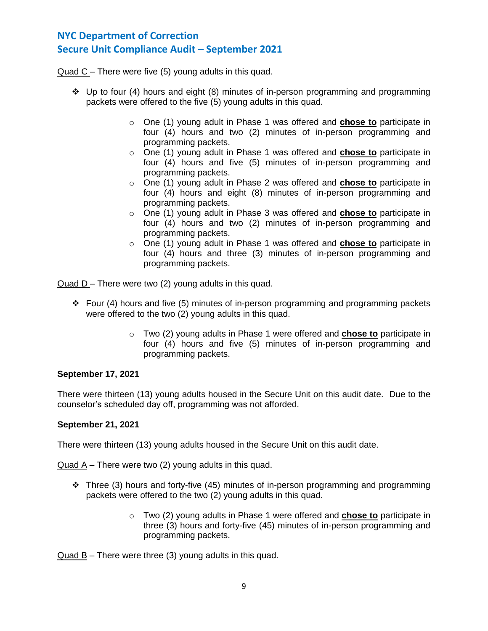Quad C – There were five (5) young adults in this quad.

- ❖ Up to four (4) hours and eight (8) minutes of in-person programming and programming packets were offered to the five (5) young adults in this quad.
	- o One (1) young adult in Phase 1 was offered and **chose to** participate in four (4) hours and two (2) minutes of in-person programming and programming packets.
	- o One (1) young adult in Phase 1 was offered and **chose to** participate in four (4) hours and five (5) minutes of in-person programming and programming packets.
	- o One (1) young adult in Phase 2 was offered and **chose to** participate in four (4) hours and eight (8) minutes of in-person programming and programming packets.
	- o One (1) young adult in Phase 3 was offered and **chose to** participate in four (4) hours and two (2) minutes of in-person programming and programming packets.
	- o One (1) young adult in Phase 1 was offered and **chose to** participate in four (4) hours and three (3) minutes of in-person programming and programming packets.

Quad D – There were two (2) young adults in this quad.

- ❖ Four (4) hours and five (5) minutes of in-person programming and programming packets were offered to the two (2) young adults in this quad.
	- o Two (2) young adults in Phase 1 were offered and **chose to** participate in four (4) hours and five (5) minutes of in-person programming and programming packets.

## **September 17, 2021**

There were thirteen (13) young adults housed in the Secure Unit on this audit date. Due to the counselor's scheduled day off, programming was not afforded.

#### **September 21, 2021**

There were thirteen (13) young adults housed in the Secure Unit on this audit date.

Quad A – There were two (2) young adults in this quad.

- $\div$  Three (3) hours and forty-five (45) minutes of in-person programming and programming packets were offered to the two (2) young adults in this quad.
	- o Two (2) young adults in Phase 1 were offered and **chose to** participate in three (3) hours and forty-five (45) minutes of in-person programming and programming packets.

 $Quad B -$  There were three (3) young adults in this quad.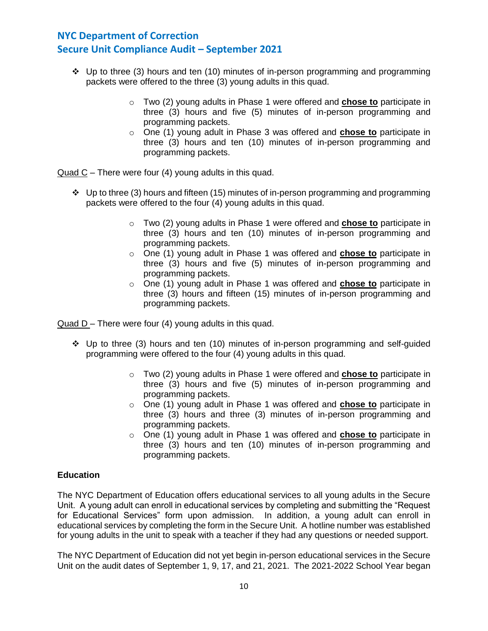- ❖ Up to three (3) hours and ten (10) minutes of in-person programming and programming packets were offered to the three (3) young adults in this quad.
	- o Two (2) young adults in Phase 1 were offered and **chose to** participate in three (3) hours and five (5) minutes of in-person programming and programming packets.
	- o One (1) young adult in Phase 3 was offered and **chose to** participate in three (3) hours and ten (10) minutes of in-person programming and programming packets.

Quad C – There were four (4) young adults in this quad.

- ❖ Up to three (3) hours and fifteen (15) minutes of in-person programming and programming packets were offered to the four (4) young adults in this quad.
	- o Two (2) young adults in Phase 1 were offered and **chose to** participate in three (3) hours and ten (10) minutes of in-person programming and programming packets.
	- o One (1) young adult in Phase 1 was offered and **chose to** participate in three (3) hours and five (5) minutes of in-person programming and programming packets.
	- o One (1) young adult in Phase 1 was offered and **chose to** participate in three (3) hours and fifteen (15) minutes of in-person programming and programming packets.

Quad D – There were four (4) young adults in this quad.

- $\div$  Up to three (3) hours and ten (10) minutes of in-person programming and self-guided programming were offered to the four (4) young adults in this quad.
	- o Two (2) young adults in Phase 1 were offered and **chose to** participate in three (3) hours and five (5) minutes of in-person programming and programming packets.
	- o One (1) young adult in Phase 1 was offered and **chose to** participate in three (3) hours and three (3) minutes of in-person programming and programming packets.
	- o One (1) young adult in Phase 1 was offered and **chose to** participate in three (3) hours and ten (10) minutes of in-person programming and programming packets.

## **Education**

The NYC Department of Education offers educational services to all young adults in the Secure Unit. A young adult can enroll in educational services by completing and submitting the "Request for Educational Services" form upon admission. In addition, a young adult can enroll in educational services by completing the form in the Secure Unit. A hotline number was established for young adults in the unit to speak with a teacher if they had any questions or needed support.

The NYC Department of Education did not yet begin in-person educational services in the Secure Unit on the audit dates of September 1, 9, 17, and 21, 2021. The 2021-2022 School Year began